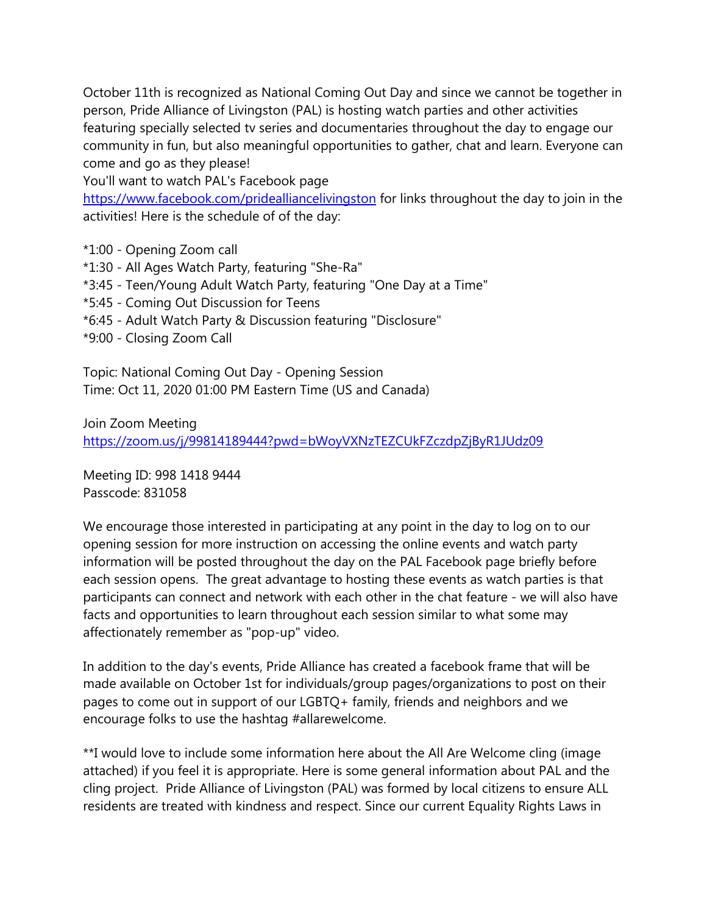October 11th is recognized as National Coming Out Day and since we cannot be together in person, Pride Alliance of Livingston (PAL) is hosting watch parties and other activities featuring specially selected tv series and documentaries throughout the day to engage our community in fun, but also meaningful opportunities to gather, chat and learn. Everyone can come and go as they please!

You'll want to watch PAL's Facebook page

<https://www.facebook.com/pridealliancelivingston> for links throughout the day to join in the activities! Here is the schedule of of the day:

- \*1:00 Opening Zoom call
- \*1:30 All Ages Watch Party, featuring "She-Ra"
- \*3:45 Teen/Young Adult Watch Party, featuring "One Day at a Time"
- \*5:45 Coming Out Discussion for Teens
- \*6:45 Adult Watch Party & Discussion featuring "Disclosure"
- \*9:00 Closing Zoom Call

Topic: National Coming Out Day - Opening Session Time: Oct 11, 2020 01:00 PM Eastern Time (US and Canada)

Join Zoom Meeting <https://zoom.us/j/99814189444?pwd=bWoyVXNzTEZCUkFZczdpZjByR1JUdz09>

Meeting ID: 998 1418 9444 Passcode: 831058

We encourage those interested in participating at any point in the day to log on to our opening session for more instruction on accessing the online events and watch party information will be posted throughout the day on the PAL Facebook page briefly before each session opens. The great advantage to hosting these events as watch parties is that participants can connect and network with each other in the chat feature - we will also have facts and opportunities to learn throughout each session similar to what some may affectionately remember as "pop-up" video.

In addition to the day's events, Pride Alliance has created a facebook frame that will be made available on October 1st for individuals/group pages/organizations to post on their pages to come out in support of our LGBTQ+ family, friends and neighbors and we encourage folks to use the hashtag #allarewelcome.

\*\*I would love to include some information here about the All Are Welcome cling (image attached) if you feel it is appropriate. Here is some general information about PAL and the cling project. Pride Alliance of Livingston (PAL) was formed by local citizens to ensure ALL residents are treated with kindness and respect. Since our current Equality Rights Laws in